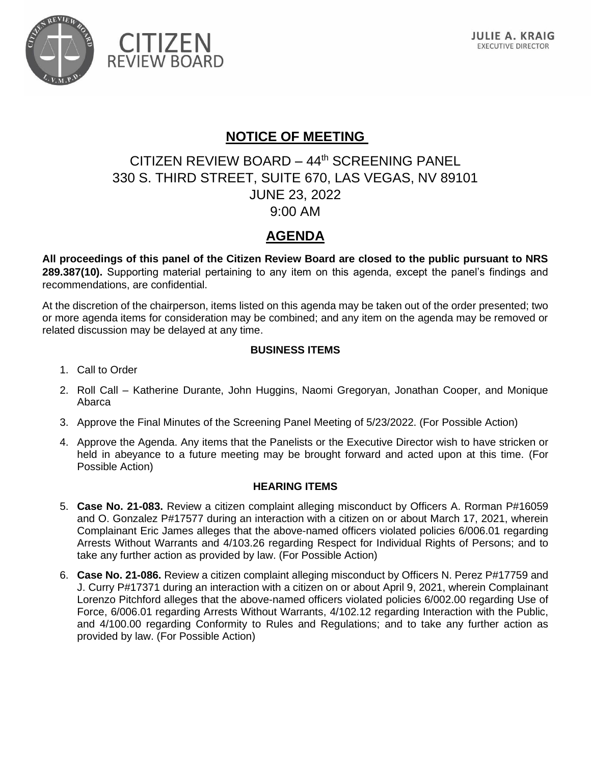

**CITIZEN** 

**REVIEW BOARD** 



## **NOTICE OF MEETING**

# CITIZEN REVIEW BOARD – 44th SCREENING PANEL 330 S. THIRD STREET, SUITE 670, LAS VEGAS, NV 89101 JUNE 23, 2022 9:00 AM

## **AGENDA**

**All proceedings of this panel of the Citizen Review Board are closed to the public pursuant to NRS 289.387(10).** Supporting material pertaining to any item on this agenda, except the panel's findings and recommendations, are confidential.

At the discretion of the chairperson, items listed on this agenda may be taken out of the order presented; two or more agenda items for consideration may be combined; and any item on the agenda may be removed or related discussion may be delayed at any time.

#### **BUSINESS ITEMS**

- 1. Call to Order
- 2. Roll Call Katherine Durante, John Huggins, Naomi Gregoryan, Jonathan Cooper, and Monique Abarca
- 3. Approve the Final Minutes of the Screening Panel Meeting of 5/23/2022. (For Possible Action)
- 4. Approve the Agenda. Any items that the Panelists or the Executive Director wish to have stricken or held in abeyance to a future meeting may be brought forward and acted upon at this time. (For Possible Action)

#### **HEARING ITEMS**

- 5. **Case No. 21-083.** Review a citizen complaint alleging misconduct by Officers A. Rorman P#16059 and O. Gonzalez P#17577 during an interaction with a citizen on or about March 17, 2021, wherein Complainant Eric James alleges that the above-named officers violated policies 6/006.01 regarding Arrests Without Warrants and 4/103.26 regarding Respect for Individual Rights of Persons; and to take any further action as provided by law. (For Possible Action)
- 6. **Case No. 21-086.** Review a citizen complaint alleging misconduct by Officers N. Perez P#17759 and J. Curry P#17371 during an interaction with a citizen on or about April 9, 2021, wherein Complainant Lorenzo Pitchford alleges that the above-named officers violated policies 6/002.00 regarding Use of Force, 6/006.01 regarding Arrests Without Warrants, 4/102.12 regarding Interaction with the Public, and 4/100.00 regarding Conformity to Rules and Regulations; and to take any further action as provided by law. (For Possible Action)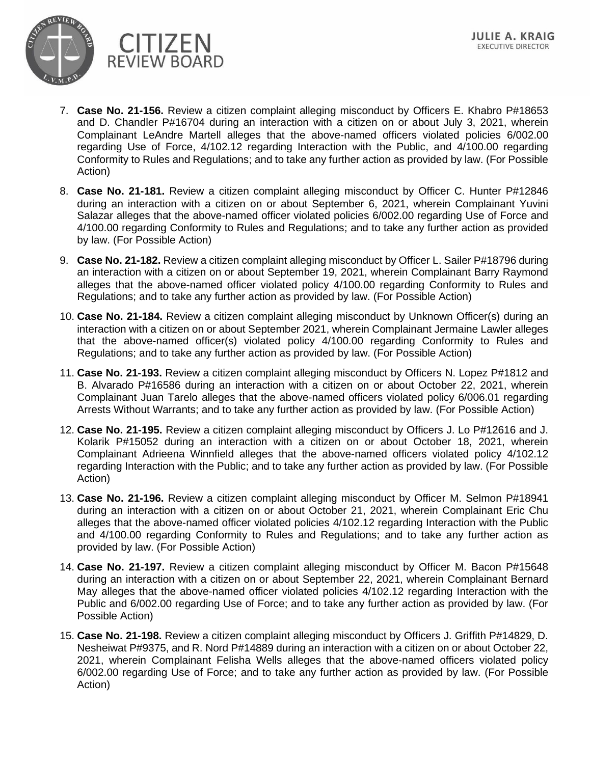

- 7. **Case No. 21-156.** Review a citizen complaint alleging misconduct by Officers E. Khabro P#18653 and D. Chandler P#16704 during an interaction with a citizen on or about July 3, 2021, wherein Complainant LeAndre Martell alleges that the above-named officers violated policies 6/002.00 regarding Use of Force, 4/102.12 regarding Interaction with the Public, and 4/100.00 regarding Conformity to Rules and Regulations; and to take any further action as provided by law. (For Possible Action)
- 8. **Case No. 21-181.** Review a citizen complaint alleging misconduct by Officer C. Hunter P#12846 during an interaction with a citizen on or about September 6, 2021, wherein Complainant Yuvini Salazar alleges that the above-named officer violated policies 6/002.00 regarding Use of Force and 4/100.00 regarding Conformity to Rules and Regulations; and to take any further action as provided by law. (For Possible Action)
- 9. **Case No. 21-182.** Review a citizen complaint alleging misconduct by Officer L. Sailer P#18796 during an interaction with a citizen on or about September 19, 2021, wherein Complainant Barry Raymond alleges that the above-named officer violated policy 4/100.00 regarding Conformity to Rules and Regulations; and to take any further action as provided by law. (For Possible Action)
- 10. **Case No. 21-184.** Review a citizen complaint alleging misconduct by Unknown Officer(s) during an interaction with a citizen on or about September 2021, wherein Complainant Jermaine Lawler alleges that the above-named officer(s) violated policy 4/100.00 regarding Conformity to Rules and Regulations; and to take any further action as provided by law. (For Possible Action)
- 11. **Case No. 21-193.** Review a citizen complaint alleging misconduct by Officers N. Lopez P#1812 and B. Alvarado P#16586 during an interaction with a citizen on or about October 22, 2021, wherein Complainant Juan Tarelo alleges that the above-named officers violated policy 6/006.01 regarding Arrests Without Warrants; and to take any further action as provided by law. (For Possible Action)
- 12. **Case No. 21-195.** Review a citizen complaint alleging misconduct by Officers J. Lo P#12616 and J. Kolarik P#15052 during an interaction with a citizen on or about October 18, 2021, wherein Complainant Adrieena Winnfield alleges that the above-named officers violated policy 4/102.12 regarding Interaction with the Public; and to take any further action as provided by law. (For Possible Action)
- 13. **Case No. 21-196.** Review a citizen complaint alleging misconduct by Officer M. Selmon P#18941 during an interaction with a citizen on or about October 21, 2021, wherein Complainant Eric Chu alleges that the above-named officer violated policies 4/102.12 regarding Interaction with the Public and 4/100.00 regarding Conformity to Rules and Regulations; and to take any further action as provided by law. (For Possible Action)
- 14. **Case No. 21-197.** Review a citizen complaint alleging misconduct by Officer M. Bacon P#15648 during an interaction with a citizen on or about September 22, 2021, wherein Complainant Bernard May alleges that the above-named officer violated policies 4/102.12 regarding Interaction with the Public and 6/002.00 regarding Use of Force; and to take any further action as provided by law. (For Possible Action)
- 15. **Case No. 21-198.** Review a citizen complaint alleging misconduct by Officers J. Griffith P#14829, D. Nesheiwat P#9375, and R. Nord P#14889 during an interaction with a citizen on or about October 22, 2021, wherein Complainant Felisha Wells alleges that the above-named officers violated policy 6/002.00 regarding Use of Force; and to take any further action as provided by law. (For Possible Action)